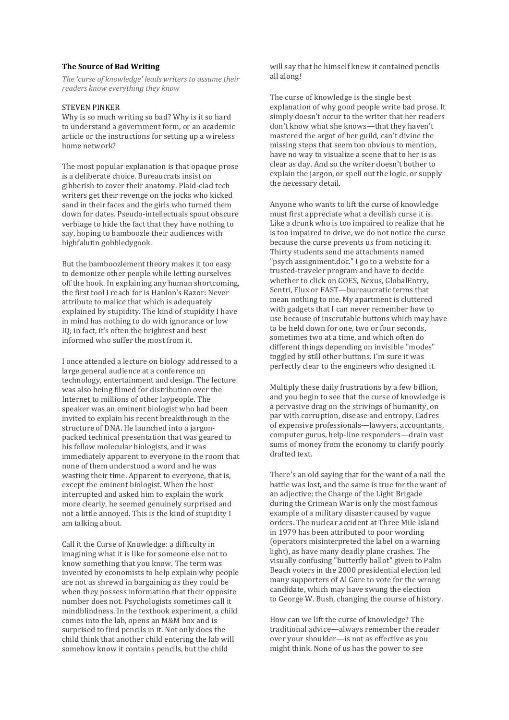## **The Source of Bad Writing**

The 'curse of knowledge' leads writers to assume their *readers know everything they know*

## STEVEN PINKER

Why is so much writing so bad? Why is it so hard to understand a government form, or an academic article or the instructions for setting up a wireless home network?

The most popular explanation is that opaque prose is a deliberate choice. Bureaucrats insist on gibberish to cover their anatomy. Plaid-clad tech writers get their revenge on the jocks who kicked sand in their faces and the girls who turned them down for dates. Pseudo-intellectuals spout obscure verbiage to hide the fact that they have nothing to say, hoping to bamboozle their audiences with highfalutin gobbledygook.

But the bamboozlement theory makes it too easy to demonize other people while letting ourselves off the hook. In explaining any human shortcoming, the first tool I reach for is Hanlon's Razor: Never attribute to malice that which is adequately explained by stupidity. The kind of stupidity I have in mind has nothing to do with ignorance or low IQ; in fact, it's often the brightest and best informed who suffer the most from it.

I once attended a lecture on biology addressed to a large general audience at a conference on technology, entertainment and design. The lecture was also being filmed for distribution over the Internet to millions of other laypeople. The speaker was an eminent biologist who had been invited to explain his recent breakthrough in the structure of DNA. He launched into a jargonpacked technical presentation that was geared to his fellow molecular biologists, and it was immediately apparent to everyone in the room that none of them understood a word and he was wasting their time. Apparent to everyone, that is, except the eminent biologist. When the host interrupted and asked him to explain the work more clearly, he seemed genuinely surprised and not a little annoved. This is the kind of stupidity I am talking about.

Call it the Curse of Knowledge: a difficulty in imagining what it is like for someone else not to know something that you know. The term was invented by economists to help explain why people are not as shrewd in bargaining as they could be when they possess information that their opposite number does not. Psychologists sometimes call it mindblindness. In the textbook experiment, a child comes into the lab, opens an M&M box and is surprised to find pencils in it. Not only does the child think that another child entering the lab will somehow know it contains pencils, but the child

will say that he himself knew it contained pencils all along!

The curse of knowledge is the single best explanation of why good people write bad prose. It simply doesn't occur to the writer that her readers don't know what she knows—that they haven't mastered the argot of her guild, can't divine the missing steps that seem too obvious to mention, have no way to visualize a scene that to her is as clear as day. And so the writer doesn't bother to explain the jargon, or spell out the logic, or supply the necessary detail.

Anyone who wants to lift the curse of knowledge must first appreciate what a devilish curse it is. Like a drunk who is too impaired to realize that he is too impaired to drive, we do not notice the curse because the curse prevents us from noticing it. Thirty students send me attachments named "psych assignment.doc." I go to a website for a trusted-traveler program and have to decide whether to click on GOES, Nexus, GlobalEntry, Sentri, Flux or FAST—bureaucratic terms that mean nothing to me. My apartment is cluttered with gadgets that I can never remember how to use because of inscrutable buttons which may have to be held down for one, two or four seconds, sometimes two at a time, and which often do different things depending on invisible "modes" toggled by still other buttons. I'm sure it was perfectly clear to the engineers who designed it.

Multiply these daily frustrations by a few billion, and you begin to see that the curse of knowledge is a pervasive drag on the strivings of humanity, on par with corruption, disease and entropy. Cadres of expensive professionals—lawyers, accountants, computer gurus, help-line responders—drain vast sums of money from the economy to clarify poorly drafted text.

There's an old saying that for the want of a nail the battle was lost, and the same is true for the want of an adjective: the Charge of the Light Brigade during the Crimean War is only the most famous example of a military disaster caused by vague orders. The nuclear accident at Three Mile Island in 1979 has been attributed to poor wording (operators misinterpreted the label on a warning light), as have many deadly plane crashes. The visually confusing "butterfly ballot" given to Palm Beach voters in the 2000 presidential election led many supporters of Al Gore to vote for the wrong candidate, which may have swung the election to George W. Bush, changing the course of history.

How can we lift the curse of knowledge? The traditional advice—always remember the reader over your shoulder—is not as effective as you might think. None of us has the power to see